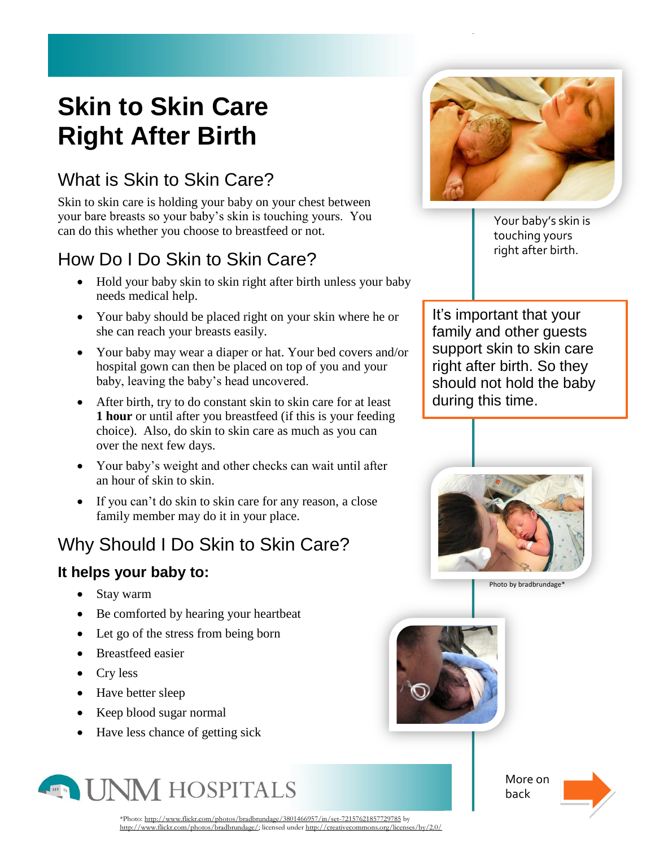# **Skin to Skin Care Right After Birth**

### What is Skin to Skin Care?

Skin to skin care is holding your baby on your chest between your bare breasts so your baby's skin is touching yours. You can do this whether you choose to breastfeed or not.

## How Do I Do Skin to Skin Care?

- Hold your baby skin to skin right after birth unless your baby needs medical help.
- Your baby should be placed right on your skin where he or she can reach your breasts easily.
- Your baby may wear a diaper or hat. Your bed covers and/or hospital gown can then be placed on top of you and your baby, leaving the baby's head uncovered.
- After birth, try to do constant skin to skin care for at least **1 hour** or until after you breastfeed (if this is your feeding choice). Also, do skin to skin care as much as you can over the next few days.
- Your baby's weight and other checks can wait until after an hour of skin to skin.
- If you can't do skin to skin care for any reason, a close family member may do it in your place.

### Why Should I Do Skin to Skin Care?

#### **It helps your baby to:**

- Stay warm
- Be comforted by hearing your heartbeat
- Let go of the stress from being born
- Breastfeed easier
- Cry less
- Have better sleep
- Keep blood sugar normal
- Have less chance of getting sick





Your baby's skin is touching yours right after birth.

It's important that your family and other guests support skin to skin care right after birth. So they should not hold the baby during this time.



[Photo](http://www.flickr.com/photos/bradbrundage/3801466957/in/set-72157621857729785) b[y bradbrundage\\*](http://www.flickr.com/photos/bradbrundage/)



More on back



\*Photo[: http://www.flickr.com/photos/bradbrundage/3801466957/in/set-72157621857729785](http://www.flickr.com/photos/bradbrundage/3801466957/in/set-72157621857729785) by [http://www.flickr.com/photos/bradbrundage/;](http://www.flickr.com/photos/bradbrundage/) licensed unde[r http://creativecommons.org/licenses/by/2.0/](http://creativecommons.org/licenses/by/2.0/)